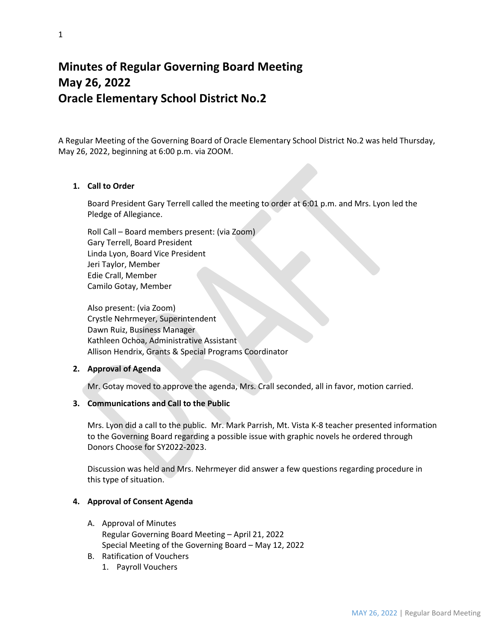# **Minutes of Regular Governing Board Meeting May 26, 2022 Oracle Elementary School District No.2**

A Regular Meeting of the Governing Board of Oracle Elementary School District No.2 was held Thursday, May 26, 2022, beginning at 6:00 p.m. via ZOOM.

## **1. Call to Order**

Board President Gary Terrell called the meeting to order at 6:01 p.m. and Mrs. Lyon led the Pledge of Allegiance.

Roll Call – Board members present: (via Zoom) Gary Terrell, Board President Linda Lyon, Board Vice President Jeri Taylor, Member Edie Crall, Member Camilo Gotay, Member

Also present: (via Zoom) Crystle Nehrmeyer, Superintendent Dawn Ruiz, Business Manager Kathleen Ochoa, Administrative Assistant Allison Hendrix, Grants & Special Programs Coordinator

## **2. Approval of Agenda**

Mr. Gotay moved to approve the agenda, Mrs. Crall seconded, all in favor, motion carried.

#### **3. Communications and Call to the Public**

Mrs. Lyon did a call to the public. Mr. Mark Parrish, Mt. Vista K-8 teacher presented information to the Governing Board regarding a possible issue with graphic novels he ordered through Donors Choose for SY2022-2023.

Discussion was held and Mrs. Nehrmeyer did answer a few questions regarding procedure in this type of situation.

## **4. Approval of Consent Agenda**

- A. Approval of Minutes Regular Governing Board Meeting – April 21, 2022 Special Meeting of the Governing Board – May 12, 2022
- B. Ratification of Vouchers
	- 1. Payroll Vouchers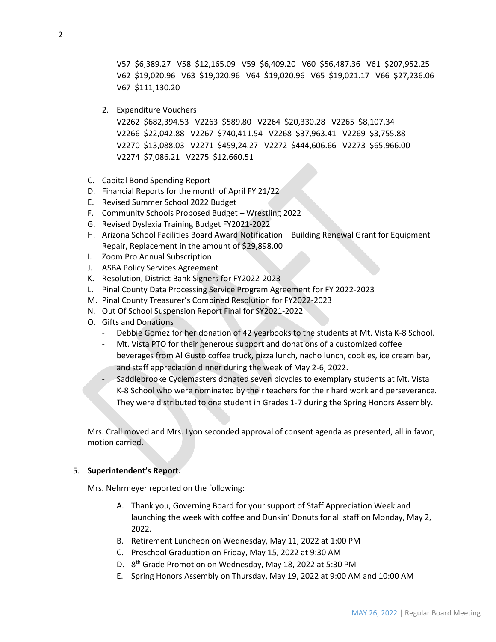V57 \$6,389.27 V58 \$12,165.09 V59 \$6,409.20 V60 \$56,487.36 V61 \$207,952.25 V62 \$19,020.96 V63 \$19,020.96 V64 \$19,020.96 V65 \$19,021.17 V66 \$27,236.06 V67 \$111,130.20

2. Expenditure Vouchers

V2262 \$682,394.53 V2263 \$589.80 V2264 \$20,330.28 V2265 \$8,107.34 V2266 \$22,042.88 V2267 \$740,411.54 V2268 \$37,963.41 V2269 \$3,755.88 V2270 \$13,088.03 V2271 \$459,24.27 V2272 \$444,606.66 V2273 \$65,966.00 V2274 \$7,086.21 V2275 \$12,660.51

- C. Capital Bond Spending Report
- D. Financial Reports for the month of April FY 21/22
- E. Revised Summer School 2022 Budget
- F. Community Schools Proposed Budget Wrestling 2022
- G. Revised Dyslexia Training Budget FY2021-2022
- H. Arizona School Facilities Board Award Notification Building Renewal Grant for Equipment Repair, Replacement in the amount of \$29,898.00
- I. Zoom Pro Annual Subscription
- J. ASBA Policy Services Agreement
- K. Resolution, District Bank Signers for FY2022-2023
- L. Pinal County Data Processing Service Program Agreement for FY 2022-2023
- M. Pinal County Treasurer's Combined Resolution for FY2022-2023
- N. Out Of School Suspension Report Final for SY2021-2022
- O. Gifts and Donations
	- Debbie Gomez for her donation of 42 yearbooks to the students at Mt. Vista K-8 School.
	- Mt. Vista PTO for their generous support and donations of a customized coffee beverages from Al Gusto coffee truck, pizza lunch, nacho lunch, cookies, ice cream bar, and staff appreciation dinner during the week of May 2-6, 2022.
	- Saddlebrooke Cyclemasters donated seven bicycles to exemplary students at Mt. Vista K-8 School who were nominated by their teachers for their hard work and perseverance. They were distributed to one student in Grades 1-7 during the Spring Honors Assembly.

Mrs. Crall moved and Mrs. Lyon seconded approval of consent agenda as presented, all in favor, motion carried.

#### 5. **Superintendent's Report.**

Mrs. Nehrmeyer reported on the following:

- A. Thank you, Governing Board for your support of Staff Appreciation Week and launching the week with coffee and Dunkin' Donuts for all staff on Monday, May 2, 2022.
- B. Retirement Luncheon on Wednesday, May 11, 2022 at 1:00 PM
- C. Preschool Graduation on Friday, May 15, 2022 at 9:30 AM
- D. 8<sup>th</sup> Grade Promotion on Wednesday, May 18, 2022 at 5:30 PM
- E. Spring Honors Assembly on Thursday, May 19, 2022 at 9:00 AM and 10:00 AM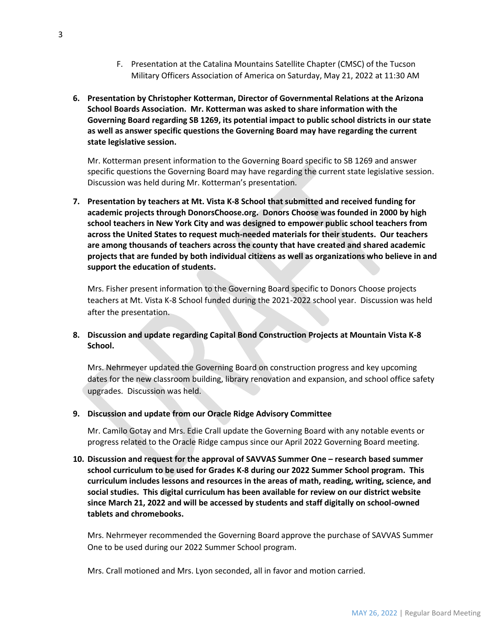- F. Presentation at the Catalina Mountains Satellite Chapter (CMSC) of the Tucson Military Officers Association of America on Saturday, May 21, 2022 at 11:30 AM
- **6. Presentation by Christopher Kotterman, Director of Governmental Relations at the Arizona School Boards Association. Mr. Kotterman was asked to share information with the Governing Board regarding SB 1269, its potential impact to public school districts in our state as well as answer specific questions the Governing Board may have regarding the current state legislative session.**

Mr. Kotterman present information to the Governing Board specific to SB 1269 and answer specific questions the Governing Board may have regarding the current state legislative session. Discussion was held during Mr. Kotterman's presentation.

**7. Presentation by teachers at Mt. Vista K-8 School that submitted and received funding for academic projects through DonorsChoose.org. Donors Choose was founded in 2000 by high school teachers in New York City and was designed to empower public school teachers from across the United States to request much-needed materials for their students. Our teachers are among thousands of teachers across the county that have created and shared academic projects that are funded by both individual citizens as well as organizations who believe in and support the education of students.** 

Mrs. Fisher present information to the Governing Board specific to Donors Choose projects teachers at Mt. Vista K-8 School funded during the 2021-2022 school year. Discussion was held after the presentation.

## **8. Discussion and update regarding Capital Bond Construction Projects at Mountain Vista K-8 School.**

Mrs. Nehrmeyer updated the Governing Board on construction progress and key upcoming dates for the new classroom building, library renovation and expansion, and school office safety upgrades. Discussion was held.

#### **9. Discussion and update from our Oracle Ridge Advisory Committee**

Mr. Camilo Gotay and Mrs. Edie Crall update the Governing Board with any notable events or progress related to the Oracle Ridge campus since our April 2022 Governing Board meeting.

**10. Discussion and request for the approval of SAVVAS Summer One – research based summer school curriculum to be used for Grades K-8 during our 2022 Summer School program. This curriculum includes lessons and resources in the areas of math, reading, writing, science, and social studies. This digital curriculum has been available for review on our district website since March 21, 2022 and will be accessed by students and staff digitally on school-owned tablets and chromebooks.** 

Mrs. Nehrmeyer recommended the Governing Board approve the purchase of SAVVAS Summer One to be used during our 2022 Summer School program.

Mrs. Crall motioned and Mrs. Lyon seconded, all in favor and motion carried.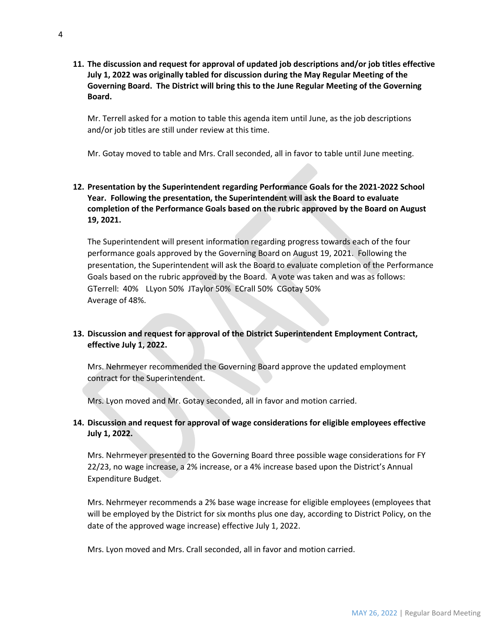**11. The discussion and request for approval of updated job descriptions and/or job titles effective July 1, 2022 was originally tabled for discussion during the May Regular Meeting of the Governing Board. The District will bring this to the June Regular Meeting of the Governing Board.** 

Mr. Terrell asked for a motion to table this agenda item until June, as the job descriptions and/or job titles are still under review at this time.

Mr. Gotay moved to table and Mrs. Crall seconded, all in favor to table until June meeting.

# **12. Presentation by the Superintendent regarding Performance Goals for the 2021-2022 School Year. Following the presentation, the Superintendent will ask the Board to evaluate completion of the Performance Goals based on the rubric approved by the Board on August 19, 2021.**

The Superintendent will present information regarding progress towards each of the four performance goals approved by the Governing Board on August 19, 2021. Following the presentation, the Superintendent will ask the Board to evaluate completion of the Performance Goals based on the rubric approved by the Board. A vote was taken and was as follows: GTerrell: 40% LLyon 50% JTaylor 50% ECrall 50% CGotay 50% Average of 48%.

# **13. Discussion and request for approval of the District Superintendent Employment Contract, effective July 1, 2022.**

Mrs. Nehrmeyer recommended the Governing Board approve the updated employment contract for the Superintendent.

Mrs. Lyon moved and Mr. Gotay seconded, all in favor and motion carried.

# **14. Discussion and request for approval of wage considerations for eligible employees effective July 1, 2022.**

Mrs. Nehrmeyer presented to the Governing Board three possible wage considerations for FY 22/23, no wage increase, a 2% increase, or a 4% increase based upon the District's Annual Expenditure Budget.

Mrs. Nehrmeyer recommends a 2% base wage increase for eligible employees (employees that will be employed by the District for six months plus one day, according to District Policy, on the date of the approved wage increase) effective July 1, 2022.

Mrs. Lyon moved and Mrs. Crall seconded, all in favor and motion carried.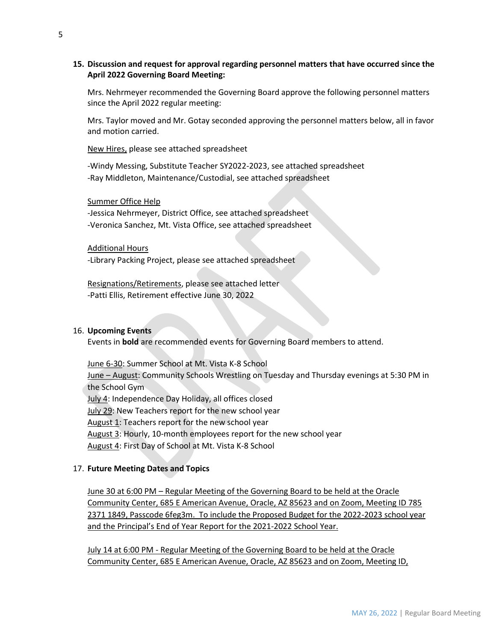## **15. Discussion and request for approval regarding personnel matters that have occurred since the April 2022 Governing Board Meeting:**

Mrs. Nehrmeyer recommended the Governing Board approve the following personnel matters since the April 2022 regular meeting:

Mrs. Taylor moved and Mr. Gotay seconded approving the personnel matters below, all in favor and motion carried.

New Hires, please see attached spreadsheet

-Windy Messing, Substitute Teacher SY2022-2023, see attached spreadsheet -Ray Middleton, Maintenance/Custodial, see attached spreadsheet

#### Summer Office Help

-Jessica Nehrmeyer, District Office, see attached spreadsheet -Veronica Sanchez, Mt. Vista Office, see attached spreadsheet

#### Additional Hours

-Library Packing Project, please see attached spreadsheet

Resignations/Retirements, please see attached letter -Patti Ellis, Retirement effective June 30, 2022

#### 16. **Upcoming Events**

Events in **bold** are recommended events for Governing Board members to attend.

June 6-30: Summer School at Mt. Vista K-8 School June – August: Community Schools Wrestling on Tuesday and Thursday evenings at 5:30 PM in the School Gym July 4: Independence Day Holiday, all offices closed July 29: New Teachers report for the new school year August 1: Teachers report for the new school year August 3: Hourly, 10-month employees report for the new school year

August 4: First Day of School at Mt. Vista K-8 School

#### 17. **Future Meeting Dates and Topics**

June 30 at 6:00 PM – Regular Meeting of the Governing Board to be held at the Oracle Community Center, 685 E American Avenue, Oracle, AZ 85623 and on Zoom, Meeting ID 785 2371 1849, Passcode 6feg3m. To include the Proposed Budget for the 2022-2023 school year and the Principal's End of Year Report for the 2021-2022 School Year.

July 14 at 6:00 PM - Regular Meeting of the Governing Board to be held at the Oracle Community Center, 685 E American Avenue, Oracle, AZ 85623 and on Zoom, Meeting ID,